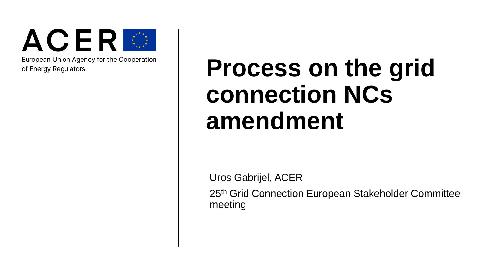

European Union Agency for the Cooperation of Energy Regulators

## **Process on the grid connection NCs amendment**

Uros Gabrijel, ACER

25th Grid Connection European Stakeholder Committee meeting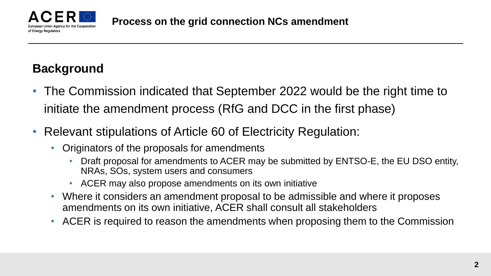

## **Background**

- The Commission indicated that September 2022 would be the right time to initiate the amendment process (RfG and DCC in the first phase)
- Relevant stipulations of Article 60 of Electricity Regulation:
	- Originators of the proposals for amendments
		- Draft proposal for amendments to ACER may be submitted by ENTSO-E, the EU DSO entity, NRAs, SOs, system users and consumers
		- ACER may also propose amendments on its own initiative
	- Where it considers an amendment proposal to be admissible and where it proposes amendments on its own initiative, ACER shall consult all stakeholders
	- ACER is required to reason the amendments when proposing them to the Commission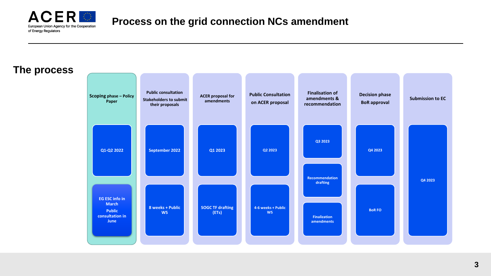